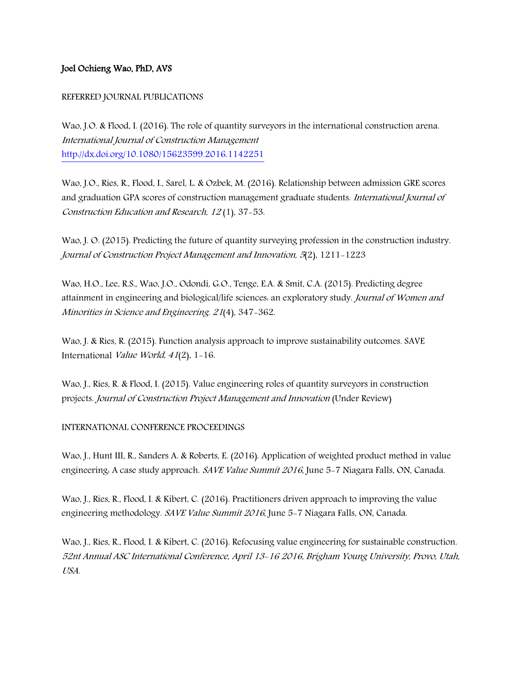## Joel Ochieng Wao, PhD, AVS

## REFERRED JOURNAL PUBLICATIONS

Wao, J.O. & Flood, I. (2016). The role of quantity surveyors in the international construction arena. International Journal of Construction Management <http://dx.doi.org/10.1080/15623599.2016.1142251>

Wao, J.O., Ries, R., Flood, I., Sarel, L. & Ozbek, M. (2016). Relationship between admission GRE scores and graduation GPA scores of construction management graduate students. International Journal of Construction Education and Research, 12 (1), 37-53.

Wao, J. O. (2015). Predicting the future of quantity surveying profession in the construction industry. Journal of Construction Project Management and Innovation, 5(2), 1211-1223

Wao, H.O., Lee, R.S., Wao, J.O., Odondi, G.O., Tenge, E.A. & Smit, C.A. (2015). Predicting degree attainment in engineering and biological/life sciences: an exploratory study. Journal of Women and Minorities in Science and Engineering. 21(4), 347-362.

Wao, J. & Ries, R. (2015). Function analysis approach to improve sustainability outcomes. SAVE International Value World, 41(2), 1-16.

Wao, J., Ries, R. & Flood, I. (2015). Value engineering roles of quantity surveyors in construction projects. Journal of Construction Project Management and Innovation (Under Review)

## INTERNATIONAL CONFERENCE PROCEEDINGS

Wao, J., Hunt III, R., Sanders A. & Roberts, E. (2016). Application of weighted product method in value engineering. A case study approach. SAVE Value Summit 2016, June 5-7 Niagara Falls, ON, Canada.

Wao, J., Ries, R., Flood, I. & Kibert, C. (2016). Practitioners driven approach to improving the value engineering methodology. SAVE Value Summit 2016, June 5-7 Niagara Falls, ON, Canada.

Wao, J., Ries, R., Flood, I. & Kibert, C. (2016). Refocusing value engineering for sustainable construction. 52nt Annual ASC International Conference, April 13-16 2016, Brigham Young University, Provo, Utah, USA.